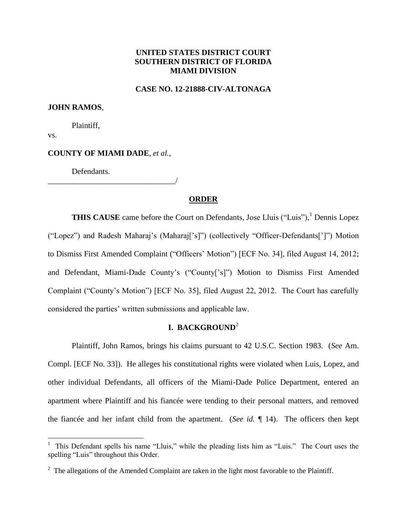# **UNITED STATES DISTRICT COURT SOUTHERN DISTRICT OF FLORIDA MIAMI DIVISION**

## **CASE NO. 12-21888-CIV-ALTONAGA**

## **JOHN RAMOS**,

Plaintiff,

vs.

 $\overline{a}$ 

# **COUNTY OF MIAMI DADE**, *et al.*,

\_\_\_\_\_\_\_\_\_\_\_\_\_\_\_\_\_\_\_\_\_\_\_\_\_\_\_\_\_\_\_\_/

Defendants.

# **ORDER**

**THIS CAUSE** came before the Court on Defendants, Jose Lluis ("Luis"),<sup>1</sup> Dennis Lopez ("Lopez") and Radesh Maharaj's (Maharaj['s]") (collectively "Officer-Defendants[']") Motion to Dismiss First Amended Complaint ("Officers' Motion") [ECF No. 34], filed August 14, 2012; and Defendant, Miami-Dade County's ("County['s]") Motion to Dismiss First Amended Complaint ("County's Motion") [ECF No. 35], filed August 22, 2012. The Court has carefully considered the parties' written submissions and applicable law.

# **I. BACKGROUND**<sup>2</sup>

Plaintiff, John Ramos, brings his claims pursuant to 42 U.S.C. Section 1983. (*See* Am. Compl. [ECF No. 33]). He alleges his constitutional rights were violated when Luis, Lopez, and other individual Defendants, all officers of the Miami-Dade Police Department, entered an apartment where Plaintiff and his fiancée were tending to their personal matters, and removed the fiancée and her infant child from the apartment. (*See id.* ¶ 14). The officers then kept

<sup>1</sup> This Defendant spells his name "Lluis," while the pleading lists him as "Luis." The Court uses the spelling "Luis" throughout this Order.

<sup>&</sup>lt;sup>2</sup> The allegations of the Amended Complaint are taken in the light most favorable to the Plaintiff.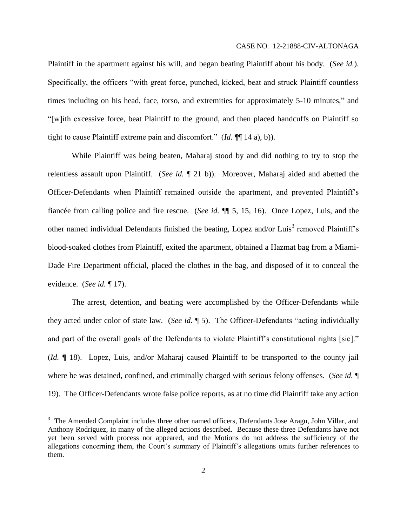Plaintiff in the apartment against his will, and began beating Plaintiff about his body. (*See id.*). Specifically, the officers "with great force, punched, kicked, beat and struck Plaintiff countless times including on his head, face, torso, and extremities for approximately 5-10 minutes," and "[w]ith excessive force, beat Plaintiff to the ground, and then placed handcuffs on Plaintiff so tight to cause Plaintiff extreme pain and discomfort." (*Id.* ¶¶ 14 a), b)).

While Plaintiff was being beaten, Maharaj stood by and did nothing to try to stop the relentless assault upon Plaintiff. (*See id.* ¶ 21 b)). Moreover, Maharaj aided and abetted the Officer-Defendants when Plaintiff remained outside the apartment, and prevented Plaintiff's fiancée from calling police and fire rescue. (*See id.* ¶¶ 5, 15, 16). Once Lopez, Luis, and the other named individual Defendants finished the beating, Lopez and/or Luis<sup>3</sup> removed Plaintiff's blood-soaked clothes from Plaintiff, exited the apartment, obtained a Hazmat bag from a Miami-Dade Fire Department official, placed the clothes in the bag, and disposed of it to conceal the evidence. (*See id.* ¶ 17).

The arrest, detention, and beating were accomplished by the Officer-Defendants while they acted under color of state law. (*See id.* ¶ 5). The Officer-Defendants "acting individually and part of the overall goals of the Defendants to violate Plaintiff's constitutional rights [sic]." (*Id.* ¶ 18). Lopez, Luis, and/or Maharaj caused Plaintiff to be transported to the county jail where he was detained, confined, and criminally charged with serious felony offenses. (*See id.* ¶ 19). The Officer-Defendants wrote false police reports, as at no time did Plaintiff take any action

 $\overline{a}$ 

<sup>&</sup>lt;sup>3</sup> The Amended Complaint includes three other named officers, Defendants Jose Aragu, John Villar, and Anthony Rodriguez, in many of the alleged actions described. Because these three Defendants have not yet been served with process nor appeared, and the Motions do not address the sufficiency of the allegations concerning them, the Court's summary of Plaintiff's allegations omits further references to them.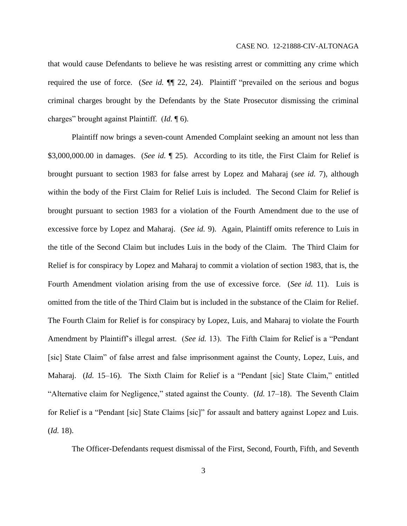that would cause Defendants to believe he was resisting arrest or committing any crime which required the use of force. (*See id.* ¶¶ 22, 24). Plaintiff "prevailed on the serious and bogus criminal charges brought by the Defendants by the State Prosecutor dismissing the criminal charges" brought against Plaintiff. (*Id.* ¶ 6).

Plaintiff now brings a seven-count Amended Complaint seeking an amount not less than \$3,000,000.00 in damages. (*See id.* ¶ 25). According to its title, the First Claim for Relief is brought pursuant to section 1983 for false arrest by Lopez and Maharaj (*see id.* 7), although within the body of the First Claim for Relief Luis is included. The Second Claim for Relief is brought pursuant to section 1983 for a violation of the Fourth Amendment due to the use of excessive force by Lopez and Maharaj. (*See id.* 9). Again, Plaintiff omits reference to Luis in the title of the Second Claim but includes Luis in the body of the Claim. The Third Claim for Relief is for conspiracy by Lopez and Maharaj to commit a violation of section 1983, that is, the Fourth Amendment violation arising from the use of excessive force. (*See id.* 11). Luis is omitted from the title of the Third Claim but is included in the substance of the Claim for Relief. The Fourth Claim for Relief is for conspiracy by Lopez, Luis, and Maharaj to violate the Fourth Amendment by Plaintiff's illegal arrest. (*See id.* 13). The Fifth Claim for Relief is a "Pendant [sic] State Claim" of false arrest and false imprisonment against the County, Lopez, Luis, and Maharaj. (*Id.* 15–16). The Sixth Claim for Relief is a "Pendant [sic] State Claim," entitled "Alternative claim for Negligence," stated against the County. (*Id.* 17–18). The Seventh Claim for Relief is a "Pendant [sic] State Claims [sic]" for assault and battery against Lopez and Luis. (*Id.* 18).

The Officer-Defendants request dismissal of the First, Second, Fourth, Fifth, and Seventh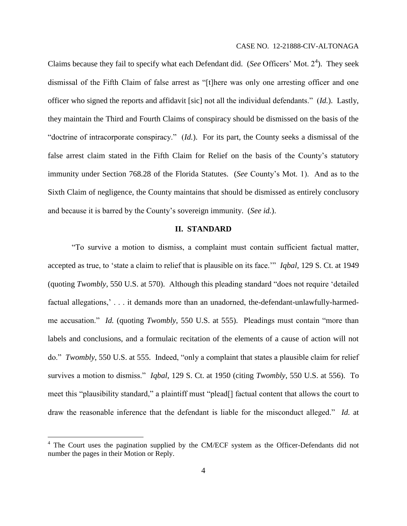Claims because they fail to specify what each Defendant did. (*See* Officers' Mot.  $2<sup>4</sup>$ ). They seek dismissal of the Fifth Claim of false arrest as "[t]here was only one arresting officer and one officer who signed the reports and affidavit [sic] not all the individual defendants." (*Id.*). Lastly, they maintain the Third and Fourth Claims of conspiracy should be dismissed on the basis of the "doctrine of intracorporate conspiracy." (*Id.*). For its part, the County seeks a dismissal of the false arrest claim stated in the Fifth Claim for Relief on the basis of the County's statutory immunity under Section 768.28 of the Florida Statutes. (*See* County's Mot. 1). And as to the Sixth Claim of negligence, the County maintains that should be dismissed as entirely conclusory and because it is barred by the County's sovereign immunity. (*See id.*).

#### **II. STANDARD**

"To survive a motion to dismiss, a complaint must contain sufficient factual matter, accepted as true, to 'state a claim to relief that is plausible on its face.'" *Iqbal*, 129 S. Ct. at 1949 (quoting *Twombly*, 550 U.S. at 570). Although this pleading standard "does not require 'detailed factual allegations,' . . . it demands more than an unadorned, the-defendant-unlawfully-harmedme accusation." *Id.* (quoting *Twombly*, 550 U.S. at 555). Pleadings must contain "more than labels and conclusions, and a formulaic recitation of the elements of a cause of action will not do." *Twombly*, 550 U.S. at 555. Indeed, "only a complaint that states a plausible claim for relief survives a motion to dismiss." *Iqbal*, 129 S. Ct. at 1950 (citing *Twombly*, 550 U.S. at 556). To meet this "plausibility standard," a plaintiff must "plead[] factual content that allows the court to draw the reasonable inference that the defendant is liable for the misconduct alleged." *Id.* at

 $\overline{a}$ 

<sup>&</sup>lt;sup>4</sup> The Court uses the pagination supplied by the CM/ECF system as the Officer-Defendants did not number the pages in their Motion or Reply.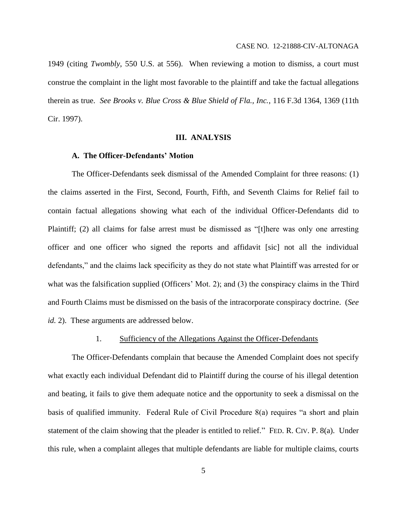1949 (citing *Twombly*, 550 U.S. at 556). When reviewing a motion to dismiss, a court must construe the complaint in the light most favorable to the plaintiff and take the factual allegations therein as true. *See Brooks v. Blue Cross & Blue Shield of Fla., Inc.*, 116 F.3d 1364, 1369 (11th Cir. 1997).

## **III. ANALYSIS**

## **A. The Officer-Defendants' Motion**

The Officer-Defendants seek dismissal of the Amended Complaint for three reasons: (1) the claims asserted in the First, Second, Fourth, Fifth, and Seventh Claims for Relief fail to contain factual allegations showing what each of the individual Officer-Defendants did to Plaintiff; (2) all claims for false arrest must be dismissed as "[t]here was only one arresting officer and one officer who signed the reports and affidavit [sic] not all the individual defendants," and the claims lack specificity as they do not state what Plaintiff was arrested for or what was the falsification supplied (Officers' Mot. 2); and (3) the conspiracy claims in the Third and Fourth Claims must be dismissed on the basis of the intracorporate conspiracy doctrine. (*See id.* 2). These arguments are addressed below.

## 1. Sufficiency of the Allegations Against the Officer-Defendants

The Officer-Defendants complain that because the Amended Complaint does not specify what exactly each individual Defendant did to Plaintiff during the course of his illegal detention and beating, it fails to give them adequate notice and the opportunity to seek a dismissal on the basis of qualified immunity. Federal Rule of Civil Procedure 8(a) requires "a short and plain statement of the claim showing that the pleader is entitled to relief*.*"FED. R. CIV. P. 8(a). Under this rule, when a complaint alleges that multiple defendants are liable for multiple claims, courts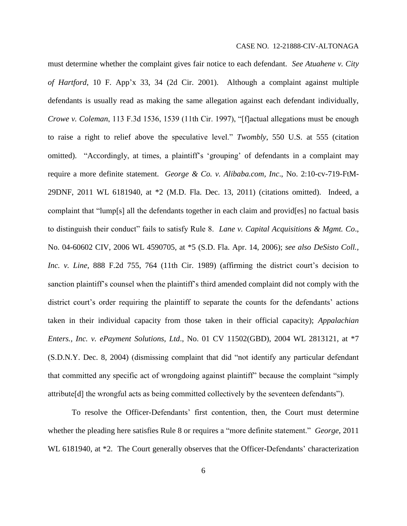#### CASE NO. 12-21888-CIV-ALTONAGA

must determine whether the complaint gives fair notice to each defendant. *See Atuahene v. City of Hartford*, 10 F. App'x 33, 34 (2d Cir. 2001). Although a complaint against multiple defendants is usually read as making the same allegation against each defendant individually, *Crowe v. Coleman*, 113 F.3d 1536, 1539 (11th Cir. 1997), "[f]actual allegations must be enough to raise a right to relief above the speculative level." *Twombly*, 550 U.S. at 555 (citation omitted). "Accordingly, at times, a plaintiff's 'grouping' of defendants in a complaint may require a more definite statement. *George & Co. v. Alibaba.com, Inc*., No. 2:10-cv-719-FtM-29DNF, 2011 WL 6181940, at \*2 (M.D. Fla. Dec. 13, 2011) (citations omitted). Indeed, a complaint that "lump[s] all the defendants together in each claim and provid[es] no factual basis to distinguish their conduct" fails to satisfy Rule 8. *Lane v. Capital Acquisitions & Mgmt. Co*., No. 04-60602 CIV, 2006 WL 4590705, at \*5 (S.D. Fla. Apr. 14, 2006); *see also DeSisto Coll., Inc. v. Line*, 888 F.2d 755, 764 (11th Cir. 1989) (affirming the district court's decision to sanction plaintiff's counsel when the plaintiff's third amended complaint did not comply with the district court's order requiring the plaintiff to separate the counts for the defendants' actions taken in their individual capacity from those taken in their official capacity); *Appalachian Enters., Inc. v. ePayment Solutions, Ltd*., No. 01 CV 11502(GBD), 2004 WL 2813121, at \*7 (S.D.N.Y. Dec. 8, 2004) (dismissing complaint that did "not identify any particular defendant that committed any specific act of wrongdoing against plaintiff" because the complaint "simply attribute[d] the wrongful acts as being committed collectively by the seventeen defendants").

To resolve the Officer-Defendants' first contention, then, the Court must determine whether the pleading here satisfies Rule 8 or requires a "more definite statement." *George*, 2011 WL 6181940, at \*2. The Court generally observes that the Officer-Defendants' characterization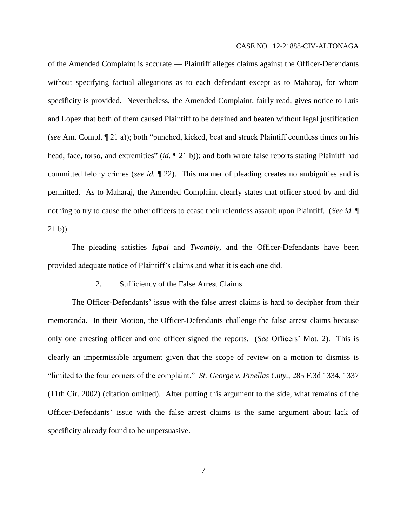#### CASE NO. 12-21888-CIV-ALTONAGA

of the Amended Complaint is accurate — Plaintiff alleges claims against the Officer-Defendants without specifying factual allegations as to each defendant except as to Maharaj, for whom specificity is provided. Nevertheless, the Amended Complaint, fairly read, gives notice to Luis and Lopez that both of them caused Plaintiff to be detained and beaten without legal justification (*see* Am. Compl. ¶ 21 a)); both "punched, kicked, beat and struck Plaintiff countless times on his head, face, torso, and extremities" (*id.*  $\P$  21 b)); and both wrote false reports stating Plainitff had committed felony crimes (*see id.* ¶ 22). This manner of pleading creates no ambiguities and is permitted. As to Maharaj, the Amended Complaint clearly states that officer stood by and did nothing to try to cause the other officers to cease their relentless assault upon Plaintiff. (*See id.* ¶ 21 b)).

The pleading satisfies *Iqbal* and *Twombly*, and the Officer-Defendants have been provided adequate notice of Plaintiff's claims and what it is each one did.

#### 2. Sufficiency of the False Arrest Claims

The Officer-Defendants' issue with the false arrest claims is hard to decipher from their memoranda. In their Motion, the Officer-Defendants challenge the false arrest claims because only one arresting officer and one officer signed the reports. (*See* Officers' Mot. 2). This is clearly an impermissible argument given that the scope of review on a motion to dismiss is "limited to the four corners of the complaint." *St. George v. Pinellas Cnty.*, 285 F.3d 1334, 1337 (11th Cir. 2002) (citation omitted). After putting this argument to the side, what remains of the Officer-Defendants' issue with the false arrest claims is the same argument about lack of specificity already found to be unpersuasive.

7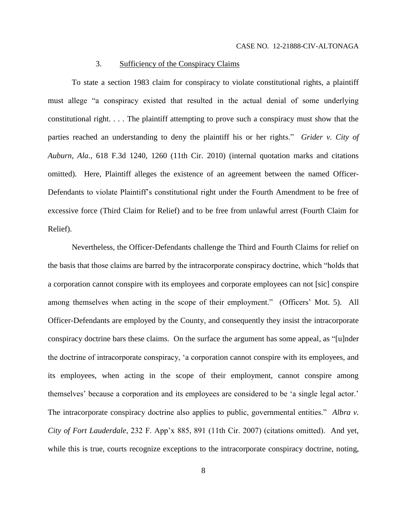## 3. Sufficiency of the Conspiracy Claims

To state a section 1983 claim for conspiracy to violate constitutional rights, a plaintiff must allege "a conspiracy existed that resulted in the actual denial of some underlying constitutional right. . . . The plaintiff attempting to prove such a conspiracy must show that the parties reached an understanding to deny the plaintiff his or her rights." *Grider v. City of Auburn, Ala.*, 618 F.3d 1240, 1260 (11th Cir. 2010) (internal quotation marks and citations omitted). Here, Plaintiff alleges the existence of an agreement between the named Officer-Defendants to violate Plaintiff's constitutional right under the Fourth Amendment to be free of excessive force (Third Claim for Relief) and to be free from unlawful arrest (Fourth Claim for Relief).

Nevertheless, the Officer-Defendants challenge the Third and Fourth Claims for relief on the basis that those claims are barred by the intracorporate conspiracy doctrine, which "holds that a corporation cannot conspire with its employees and corporate employees can not [sic] conspire among themselves when acting in the scope of their employment." (Officers' Mot. 5). All Officer-Defendants are employed by the County, and consequently they insist the intracorporate conspiracy doctrine bars these claims. On the surface the argument has some appeal, as "[u]nder the doctrine of intracorporate conspiracy, 'a corporation cannot conspire with its employees, and its employees, when acting in the scope of their employment, cannot conspire among themselves' because a corporation and its employees are considered to be 'a single legal actor.' The intracorporate conspiracy doctrine also applies to public, governmental entities." Albra v. *City of Fort Lauderdale*, 232 F. App'x 885, 891 (11th Cir. 2007) (citations omitted). And yet, while this is true, courts recognize exceptions to the intracorporate conspiracy doctrine, noting,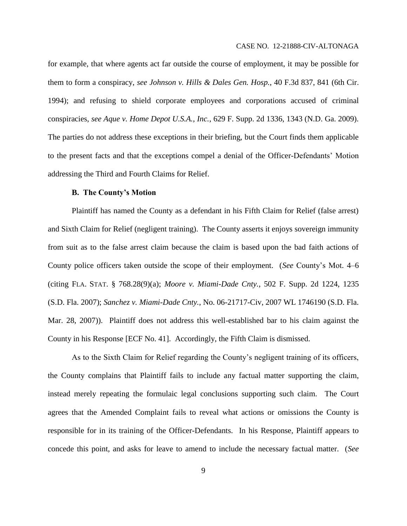#### CASE NO. 12-21888-CIV-ALTONAGA

for example, that where agents act far outside the course of employment, it may be possible for them to form a conspiracy, *see Johnson v. Hills & Dales Gen. Hosp.*, 40 F.3d 837, 841 (6th Cir. 1994); and refusing to shield corporate employees and corporations accused of criminal conspiracies, *see Aque v. Home Depot U.S.A., Inc.*, 629 F. Supp. 2d 1336, 1343 (N.D. Ga. 2009). The parties do not address these exceptions in their briefing, but the Court finds them applicable to the present facts and that the exceptions compel a denial of the Officer-Defendants' Motion addressing the Third and Fourth Claims for Relief.

# **B. The County's Motion**

Plaintiff has named the County as a defendant in his Fifth Claim for Relief (false arrest) and Sixth Claim for Relief (negligent training). The County asserts it enjoys sovereign immunity from suit as to the false arrest claim because the claim is based upon the bad faith actions of County police officers taken outside the scope of their employment. (*See* County's Mot. 4–6 (citing FLA. STAT. § 768.28(9)(a); *Moore v. Miami-Dade Cnty.*, 502 F. Supp. 2d 1224, 1235 (S.D. Fla. 2007); *Sanchez v. Miami-Dade Cnty.*, No. 06-21717-Civ, 2007 WL 1746190 (S.D. Fla. Mar. 28, 2007)). Plaintiff does not address this well-established bar to his claim against the County in his Response [ECF No. 41]. Accordingly, the Fifth Claim is dismissed.

As to the Sixth Claim for Relief regarding the County's negligent training of its officers, the County complains that Plaintiff fails to include any factual matter supporting the claim, instead merely repeating the formulaic legal conclusions supporting such claim. The Court agrees that the Amended Complaint fails to reveal what actions or omissions the County is responsible for in its training of the Officer-Defendants. In his Response, Plaintiff appears to concede this point, and asks for leave to amend to include the necessary factual matter. (*See*